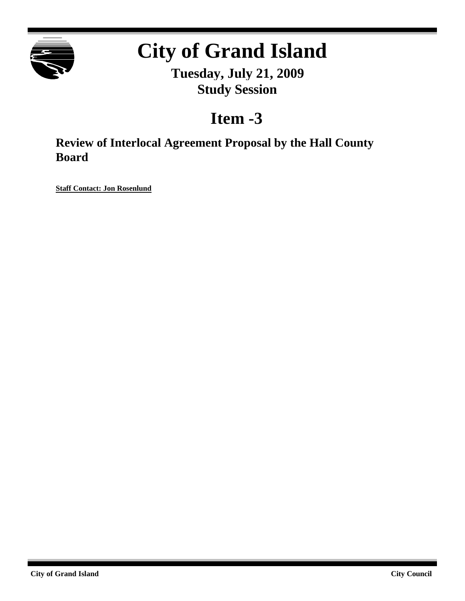

# **City of Grand Island**

**Tuesday, July 21, 2009 Study Session**

## **Item -3**

**Review of Interlocal Agreement Proposal by the Hall County Board**

**Staff Contact: Jon Rosenlund**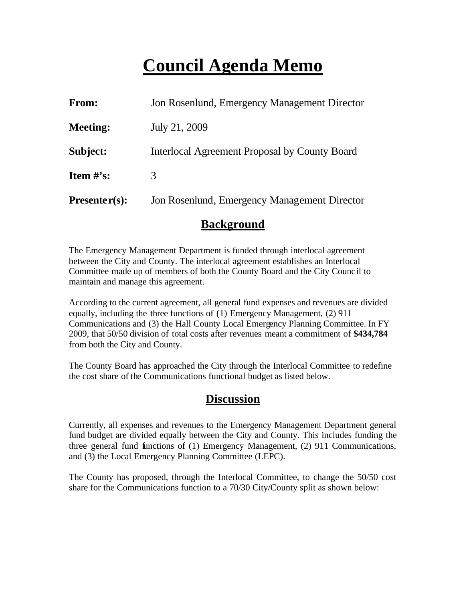# **Council Agenda Memo**

| From:                          | Jon Rosenlund, Emergency Management Director  |
|--------------------------------|-----------------------------------------------|
| <b>Meeting:</b>                | July 21, 2009                                 |
| Subject:                       | Interlocal Agreement Proposal by County Board |
| <b>Item <math>\#</math>'s:</b> | 3                                             |
| $Presenter(s):$                | Jon Rosenlund, Emergency Management Director  |

### **Background**

The Emergency Management Department is funded through interlocal agreement between the City and County. The interlocal agreement establishes an Interlocal Committee made up of members of both the County Board and the City Counc il to maintain and manage this agreement.

According to the current agreement, all general fund expenses and revenues are divided equally, including the three functions of (1) Emergency Management, (2) 911 Communications and (3) the Hall County Local Emergency Planning Committee. In FY 2009, that 50/50 division of total costs after revenues meant a commitment of **\$434,784** from both the City and County.

The County Board has approached the City through the Interlocal Committee to redefine the cost share of the Communications functional budget as listed below.

### **Discussion**

Currently, all expenses and revenues to the Emergency Management Department general fund budget are divided equally between the City and County. This includes funding the three general fund functions of (1) Emergency Management, (2) 911 Communications, and (3) the Local Emergency Planning Committee (LEPC).

The County has proposed, through the Interlocal Committee, to change the 50/50 cost share for the Communications function to a 70/30 City/County split as shown below: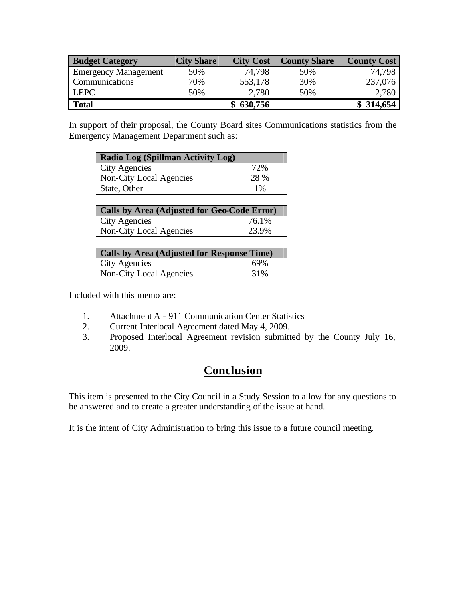| <b>Budget Category</b>      | <b>City Share</b> | <b>City Cost</b> | <b>County Share</b> | <b>County Cost</b> |
|-----------------------------|-------------------|------------------|---------------------|--------------------|
| <b>Emergency Management</b> | 50%               | 74,798           | 50%                 | 74.798             |
| Communications              | 70%               | 553,178          | 30%                 | 237,076            |
| <b>LEPC</b>                 | 50%               | 2,780            | 50%                 | 2,780              |
| <b>Total</b>                |                   | 630,756          |                     | \$314,654          |

In support of their proposal, the County Board sites Communications statistics from the Emergency Management Department such as:

| <b>Radio Log (Spillman Activity Log)</b>    |       |  |  |  |
|---------------------------------------------|-------|--|--|--|
| <b>City Agencies</b>                        | 72%   |  |  |  |
| Non-City Local Agencies                     | 28 %  |  |  |  |
| State, Other                                | $1\%$ |  |  |  |
|                                             |       |  |  |  |
| Calle by Area (Adjusted for Cea Cade Frror) |       |  |  |  |

| Calls by Area (Adjusted for Geo-Code Error) |       |  |  |  |
|---------------------------------------------|-------|--|--|--|
| City Agencies                               | 76.1% |  |  |  |
| Non-City Local Agencies                     | 23.9% |  |  |  |

| Calls by Area (Adjusted for Response Time) |     |
|--------------------------------------------|-----|
| <b>City Agencies</b>                       | 69% |
| Non-City Local Agencies                    | 31% |

Included with this memo are:

- 1. Attachment A 911 Communication Center Statistics
- 2. Current Interlocal Agreement dated May 4, 2009.
- 3. Proposed Interlocal Agreement revision submitted by the County July 16, 2009.

### **Conclusion**

This item is presented to the City Council in a Study Session to allow for any questions to be answered and to create a greater understanding of the issue at hand.

It is the intent of City Administration to bring this issue to a future council meeting.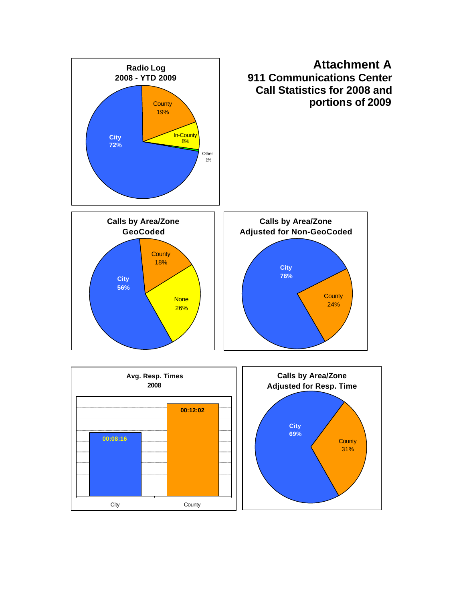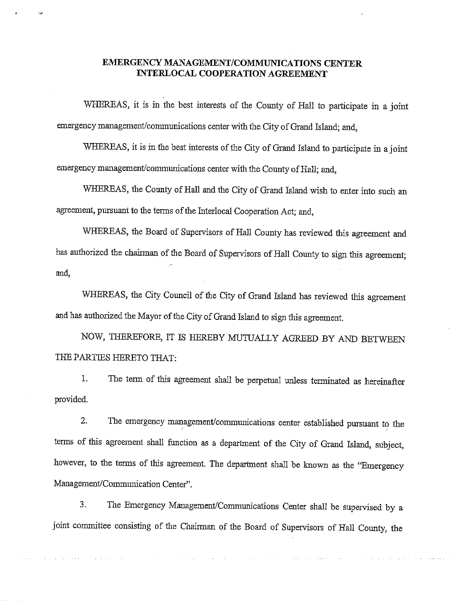#### EMERGENCY MANAGEMENT/COMMUNICATIONS CENTER **INTERLOCAL COOPERATION AGREEMENT**

 $\lambda$  and

WHEREAS, it is in the best interests of the County of Hall to participate in a joint emergency management/communications center with the City of Grand Island; and,

WHEREAS, it is in the best interests of the City of Grand Island to participate in a joint emergency management/communications center with the County of Hall; and,

WHEREAS, the County of Hall and the City of Grand Island wish to enter into such an agreement, pursuant to the terms of the Interlocal Cooperation Act; and,

WHEREAS, the Board of Supervisors of Hall County has reviewed this agreement and has authorized the chairman of the Board of Supervisors of Hall County to sign this agreement; and.

WHEREAS, the City Council of the City of Grand Island has reviewed this agreement and has authorized the Mayor of the City of Grand Island to sign this agreement.

NOW, THEREFORE, IT IS HEREBY MUTUALLY AGREED BY AND BETWEEN THE PARTIES HERETO THAT:

1. The term of this agreement shall be perpetual unless terminated as hereinafter provided.

 $2.$ The emergency management/communications center established pursuant to the terms of this agreement shall function as a department of the City of Grand Island, subject, however, to the terms of this agreement. The department shall be known as the "Emergency Management/Communication Center".

 $3.$ The Emergency Management/Communications Center shall be supervised by a joint committee consisting of the Chairman of the Board of Supervisors of Hall County, the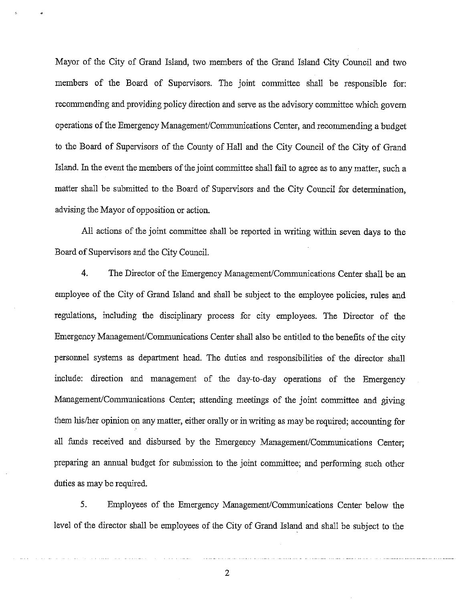Mayor of the City of Grand Island, two members of the Grand Island City Council and two members of the Board of Supervisors. The joint committee shall be responsible for: recommending and providing policy direction and serve as the advisory committee which govern operations of the Emergency Management/Communications Center, and recommending a budget to the Board of Supervisors of the County of Hall and the City Council of the City of Grand Island. In the event the members of the joint committee shall fail to agree as to any matter, such a matter shall be submitted to the Board of Supervisors and the City Council for determination, advising the Mayor of opposition or action.

All actions of the joint committee shall be reported in writing within seven days to the Board of Supervisors and the City Council.

 $4.$ The Director of the Emergency Management/Communications Center shall be an employee of the City of Grand Island and shall be subject to the employee policies, rules and regulations, including the disciplinary process for city employees. The Director of the Emergency Management/Communications Center shall also be entitled to the benefits of the city personnel systems as department head. The duties and responsibilities of the director shall include: direction and management of the day-to-day operations of the Emergency Management/Communications Center; attending meetings of the joint committee and giving them his/her opinion on any matter, either orally or in writing as may be required; accounting for all funds received and disbursed by the Emergency Management/Communications Center: preparing an annual budget for submission to the joint committee; and performing such other duties as may be required.

 $5<sub>1</sub>$ Employees of the Emergency Management/Communications Center below the level of the director shall be employees of the City of Grand Island and shall be subject to the

 $\overline{2}$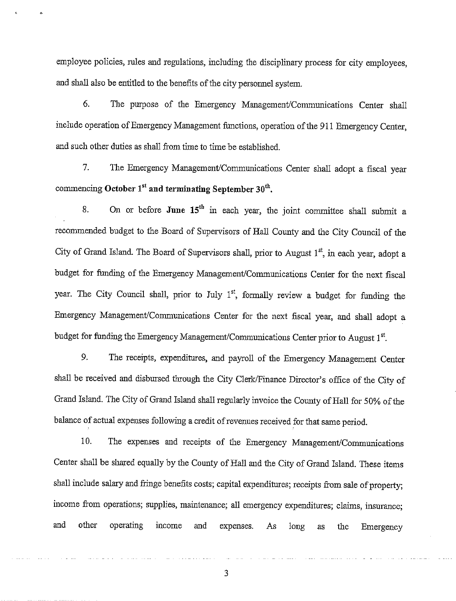employee policies, rules and regulations, including the disciplinary process for city employees, and shall also be entitled to the benefits of the city personnel system.

6. The purpose of the Emergency Management/Communications Center shall include operation of Emergency Management functions, operation of the 911 Emergency Center, and such other duties as shall from time to time be established.

 $7.$ The Emergency Management/Communications Center shall adopt a fiscal year commencing October  $1^{st}$  and terminating September  $30^{th}$ .

On or before June 15<sup>th</sup> in each year, the joint committee shall submit a 8. recommended budget to the Board of Supervisors of Hall County and the City Council of the City of Grand Island. The Board of Supervisors shall, prior to August 1<sup>st</sup>, in each vear, adopt a budget for funding of the Emergency Management/Communications Center for the next fiscal year. The City Council shall, prior to July 1<sup>st</sup>, formally review a budget for funding the Emergency Management/Communications Center for the next fiscal year, and shall adopt a budget for funding the Emergency Management/Communications Center prior to August 1st.

The receipts, expenditures, and payroll of the Emergency Management Center 9. shall be received and disbursed through the City Clerk/Finance Director's office of the City of Grand Island. The City of Grand Island shall regularly invoice the County of Hall for 50% of the balance of actual expenses following a credit of revenues received for that same period.

The expenses and receipts of the Emergency Management/Communications 10. Center shall be shared equally by the County of Hall and the City of Grand Island. These items shall include salary and fringe benefits costs; capital expenditures; receipts from sale of property; income from operations; supplies, maintenance; all emergency expenditures; claims, insurance; and other operating income and expenses. As long as the Emergency

3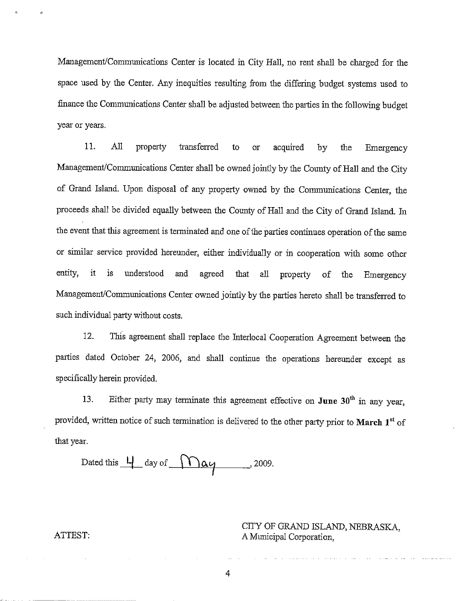Management/Communications Center is located in City Hall, no rent shall be charged for the space used by the Center. Any inequities resulting from the differing budget systems used to finance the Communications Center shall be adjusted between the parties in the following budget year or years.

11.  $All$ transferred property to or acquired bv the Emergency Management/Communications Center shall be owned jointly by the County of Hall and the City of Grand Island. Upon disposal of any property owned by the Communications Center, the proceeds shall be divided equally between the County of Hall and the City of Grand Island. In the event that this agreement is terminated and one of the parties continues operation of the same or similar service provided hereunder, either individually or in cooperation with some other entity. it is. understood and agreed that all property of the Emergency Management/Communications Center owned jointly by the parties hereto shall be transferred to such individual party without costs.

 $12.$ This agreement shall replace the Interlocal Cooperation Agreement between the parties dated October 24, 2006, and shall continue the operations hereunder except as specifically herein provided.

Either party may terminate this agreement effective on June  $30<sup>th</sup>$  in any year. 13. provided, written notice of such termination is delivered to the other party prior to March 1st of that year.

Dated this  $\frac{L}{\sqrt{2}}$  day of  $\sqrt{2009}$ .

CITY OF GRAND ISLAND, NEBRASKA, A Municipal Corporation,

ATTEST:

4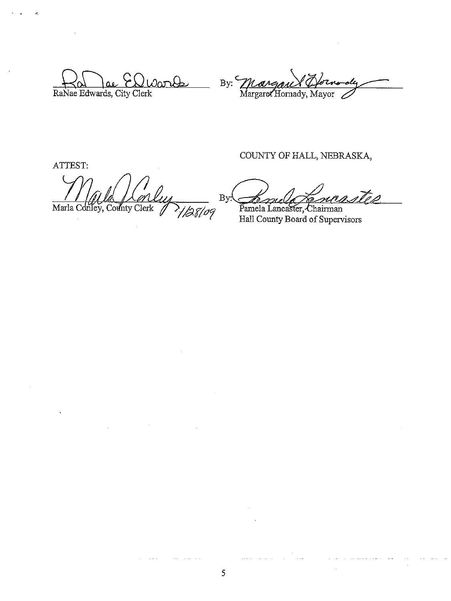$\partial a$ nde  $\mathbf{A}$ RaNae Edwards, City Clerk

By: Margan & Oforno<br>Margaret Hornady, Mayor

ATTEST:

Marla Conley, County Clerk 109

 $\sim 0.5$ 

 $\sim 10^{-1}$ 

COUNTY OF HALL, NEBRASKA,

 $By:$ 

Pamela Lancaster, Chairman Hall County Board of Supervisors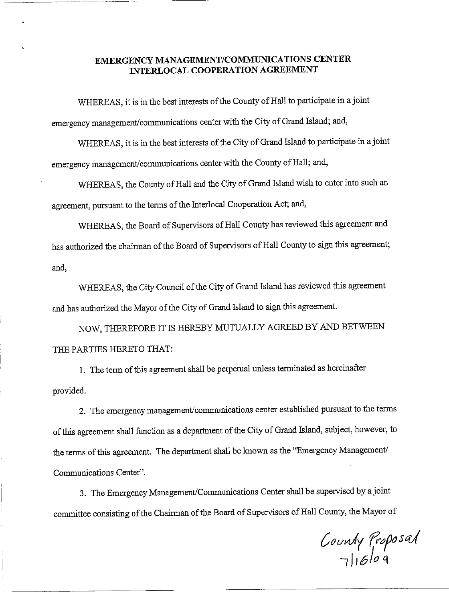#### EMERGENCY MANAGEMENT/COMMUNICATIONS CENTER **INTERLOCAL COOPERATION AGREEMENT**

WHEREAS, it is in the best interests of the County of Hall to participate in a joint emergency management/communications center with the City of Grand Island; and,

WHEREAS, it is in the best interests of the City of Grand Island to participate in a joint emergency management/communications center with the County of Hall; and,

WHEREAS, the County of Hall and the City of Grand Island wish to enter into such an agreement, pursuant to the terms of the Interlocal Cooperation Act; and,

WHEREAS, the Board of Supervisors of Hall County has reviewed this agreement and has authorized the chairman of the Board of Supervisors of Hall County to sign this agreement; and,

WHEREAS, the City Council of the City of Grand Island has reviewed this agreement and has authorized the Mayor of the City of Grand Island to sign this agreement.

NOW, THEREFORE IT IS HEREBY MUTUALLY AGREED BY AND BETWEEN THE PARTIES HERETO THAT:

1. The term of this agreement shall be perpetual unless terminated as hereinafter provided.

2. The emergency management/communications center established pursuant to the terms of this agreement shall function as a department of the City of Grand Island, subject, however, to the terms of this agreement. The department shall be known as the "Emergency Management/ Communications Center".

3. The Emergency Management/Communications Center shall be supervised by a joint committee consisting of the Chairman of the Board of Supervisors of Hall County, the Mayor of

County Proposal<br>Juble 9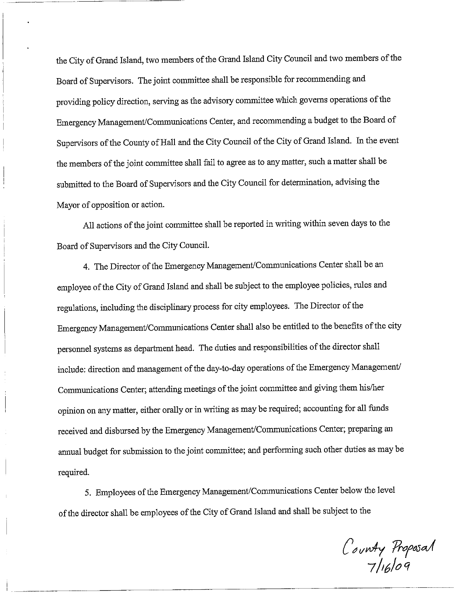the City of Grand Island, two members of the Grand Island City Council and two members of the Board of Supervisors. The joint committee shall be responsible for recommending and providing policy direction, serving as the advisory committee which governs operations of the Emergency Management/Communications Center, and recommending a budget to the Board of Supervisors of the County of Hall and the City Council of the City of Grand Island. In the event the members of the joint committee shall fail to agree as to any matter, such a matter shall be submitted to the Board of Supervisors and the City Council for determination, advising the Mayor of opposition or action.

All actions of the joint committee shall be reported in writing within seven days to the Board of Supervisors and the City Council.

4. The Director of the Emergency Management/Communications Center shall be an employee of the City of Grand Island and shall be subject to the employee policies, rules and regulations, including the disciplinary process for city employees. The Director of the Emergency Management/Communications Center shall also be entitled to the benefits of the city personnel systems as department head. The duties and responsibilities of the director shall include: direction and management of the day-to-day operations of the Emergency Management/ Communications Center; attending meetings of the joint committee and giving them his/her opinion on any matter, either orally or in writing as may be required; accounting for all funds received and disbursed by the Emergency Management/Communications Center; preparing an annual budget for submission to the joint committee; and performing such other duties as may be required.

5. Employees of the Emergency Management/Communications Center below the level of the director shall be employees of the City of Grand Island and shall be subject to the

C'ounty Proposal<br>7/16/09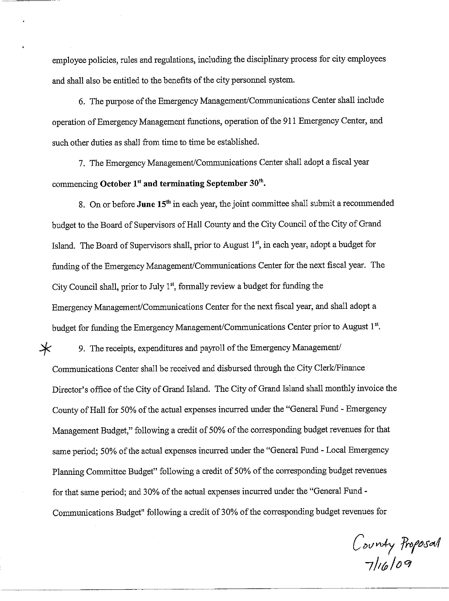employee policies, rules and regulations, including the disciplinary process for city employees and shall also be entitled to the benefits of the city personnel system.

6. The purpose of the Emergency Management/Communications Center shall include operation of Emergency Management functions, operation of the 911 Emergency Center, and such other duties as shall from time to time be established.

7. The Emergency Management/Communications Center shall adopt a fiscal year commencing October  $1<sup>st</sup>$  and terminating September  $30<sup>th</sup>$ .

8. On or before June 15<sup>th</sup> in each year, the joint committee shall submit a recommended budget to the Board of Supervisors of Hall County and the City Council of the City of Grand Island. The Board of Supervisors shall, prior to August 1<sup>st</sup>, in each year, adopt a budget for funding of the Emergency Management/Communications Center for the next fiscal year. The City Council shall, prior to July  $1<sup>st</sup>$ , formally review a budget for funding the Emergency Management/Communications Center for the next fiscal year, and shall adopt a budget for funding the Emergency Management/Communications Center prior to August 1st.

 $\ast$ 9. The receipts, expenditures and payroll of the Emergency Management/ Communications Center shall be received and disbursed through the City Clerk/Finance Director's office of the City of Grand Island. The City of Grand Island shall monthly invoice the County of Hall for 50% of the actual expenses incurred under the "General Fund - Emergency Management Budget," following a credit of 50% of the corresponding budget revenues for that same period; 50% of the actual expenses incurred under the "General Fund - Local Emergency Planning Committee Budget" following a credit of 50% of the corresponding budget revenues for that same period; and 30% of the actual expenses incurred under the "General Fund -Communications Budget" following a credit of 30% of the corresponding budget revenues for

County Proposal<br>7/16/09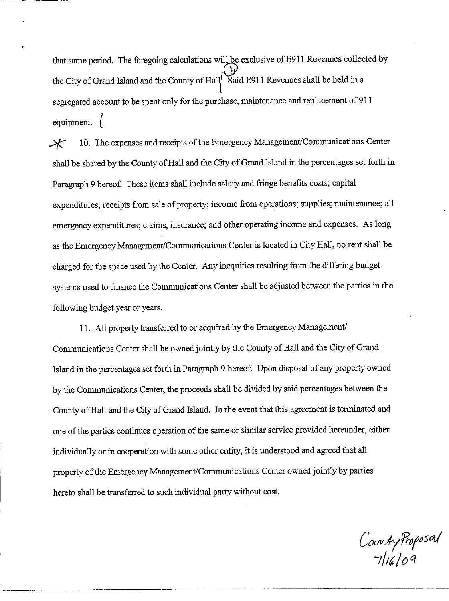that same period. The foregoing calculations will be exclusive of E911 Revenues collected by the City of Grand Island and the County of Hall. Said E911 Revenues shall be held in a segregated account to be spent only for the purchase, maintenance and replacement of 911 equipment.  $\left($ 

10. The expenses and receipts of the Emergency Management/Communications Center  $\boldsymbol{\times}$ shall be shared by the County of Hall and the City of Grand Island in the percentages set forth in Paragraph 9 hereof. These items shall include salary and fringe benefits costs; capital expenditures; receipts from sale of property; income from operations; supplies; maintenance; all emergency expenditures; claims, insurance; and other operating income and expenses. As long as the Emergency Management/Communications Center is located in City Hall, no rent shall be charged for the space used by the Center. Any inequities resulting from the differing budget systems used to finance the Communications Center shall be adjusted between the parties in the following budget year or years.

11. All property transferred to or acquired by the Emergency Management/ Communications Center shall be owned jointly by the County of Hall and the City of Grand Island in the percentages set forth in Paragraph 9 hereof. Upon disposal of any property owned by the Communications Center, the proceeds shall be divided by said percentages between the County of Hall and the City of Grand Island. In the event that this agreement is terminated and one of the parties continues operation of the same or similar service provided hereunder, either individually or in cooperation with some other entity, it is understood and agreed that all property of the Emergency Management/Communications Center owned jointly by parties hereto shall be transferred to such individual party without cost.

County Proposal<br>7/16/09